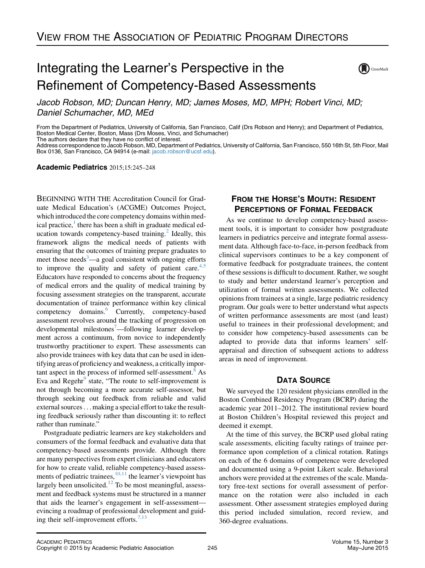# Integrating the Learner's Perspective in the Refinement of Competency-Based Assessments



Jacob Robson, MD; Duncan Henry, MD; James Moses, MD, MPH; Robert Vinci, MD; Daniel Schumacher, MD, MEd

From the Department of Pediatrics, University of California, San Francisco, Calif (Drs Robson and Henry); and Department of Pediatrics, Boston Medical Center, Boston, Mass (Drs Moses, Vinci, and Schumacher) The authors declare that they have no conflict of interest.

Address correspondence to Jacob Robson, MD, Department of Pediatrics, University of California, San Francisco, 550 16th St, 5th Floor, Mail Box 0136, San Francisco, CA 94914 (e-mail: [jacob.robson@ucsf.edu\)](mailto:jacob.robson@ucsf.edu).

Academic Pediatrics 2015;15:245–248

BEGINNING WITH THE Accreditation Council for Graduate Medical Education's (ACGME) Outcomes Project, which introduced the core competency domains within medical practice, $\frac{1}{1}$  $\frac{1}{1}$  $\frac{1}{1}$  there has been a shift in graduate medical ed-ucation towards competency-based training.<sup>[2](#page-3-0)</sup> Ideally, this framework aligns the medical needs of patients with ensuring that the outcomes of training prepare graduates to meet those needs $3$ —a goal consistent with ongoing efforts to improve the quality and safety of patient care.<sup>4,5</sup> Educators have responded to concerns about the frequency of medical errors and the quality of medical training by focusing assessment strategies on the transparent, accurate documentation of trainee performance within key clinical competency domains.<sup>6</sup> Currently, competency-based assessment revolves around the tracking of progression on developmental milestones<sup>7</sup>—following learner development across a continuum, from novice to independently trustworthy practitioner to expert. These assessments can also provide trainees with key data that can be used in identifying areas of proficiency and weakness, a critically important aspect in the process of informed self-assessment. $8$  As Eva and Regehr<sup>9</sup> state, "The route to self-improvement is not through becoming a more accurate self-assessor, but through seeking out feedback from reliable and valid external sources . . . making a special effort to take the resulting feedback seriously rather than discounting it: to reflect rather than ruminate."

Postgraduate pediatric learners are key stakeholders and consumers of the formal feedback and evaluative data that competency-based assessments provide. Although there are many perspectives from expert clinicians and educators for how to create valid, reliable competency-based assessments of pediatric trainees,  $10,11$  the learner's viewpoint has largely been unsolicited.<sup>[12](#page-3-0)</sup> To be most meaningful, assessment and feedback systems must be structured in a manner that aids the learner's engagement in self-assessment evincing a roadmap of professional development and guid-ing their self-improvement efforts.<sup>[7,13](#page-3-0)</sup>

## FROM THE HORSE'S MOUTH: RESIDENT PERCEPTIONS OF FORMAL FEEDBACK

As we continue to develop competency-based assessment tools, it is important to consider how postgraduate learners in pediatrics perceive and integrate formal assessment data. Although face-to-face, in-person feedback from clinical supervisors continues to be a key component of formative feedback for postgraduate trainees, the content of these sessions is difficult to document. Rather, we sought to study and better understand learner's perception and utilization of formal written assessments. We collected opinions from trainees at a single, large pediatric residency program. Our goals were to better understand what aspects of written performance assessments are most (and least) useful to trainees in their professional development; and to consider how competency-based assessments can be adapted to provide data that informs learners' selfappraisal and direction of subsequent actions to address areas in need of improvement.

#### DATA SOURCE

We surveyed the 120 resident physicians enrolled in the Boston Combined Residency Program (BCRP) during the academic year 2011–2012. The institutional review board at Boston Children's Hospital reviewed this project and deemed it exempt.

At the time of this survey, the BCRP used global rating scale assessments, eliciting faculty ratings of trainee performance upon completion of a clinical rotation. Ratings on each of the 6 domains of competence were developed and documented using a 9-point Likert scale. Behavioral anchors were provided at the extremes of the scale. Mandatory free-text sections for overall assessment of performance on the rotation were also included in each assessment. Other assessment strategies employed during this period included simulation, record review, and 360-degree evaluations.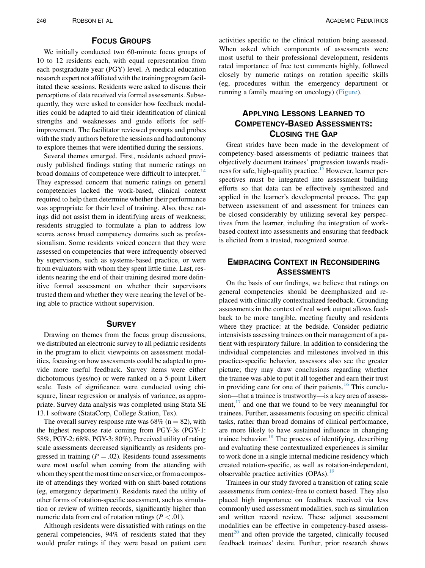#### FOCUS GROUPS

We initially conducted two 60-minute focus groups of 10 to 12 residents each, with equal representation from each postgraduate year (PGY) level. A medical education research expert not affiliated with the training program facilitated these sessions. Residents were asked to discuss their perceptions of data received via formal assessments. Subsequently, they were asked to consider how feedback modalities could be adapted to aid their identification of clinical strengths and weaknesses and guide efforts for selfimprovement. The facilitator reviewed prompts and probes with the study authors before the sessions and had autonomy to explore themes that were identified during the sessions.

Several themes emerged. First, residents echoed previously published findings stating that numeric ratings on broad domains of competence were difficult to interpret.<sup>[14](#page-3-0)</sup> They expressed concern that numeric ratings on general competencies lacked the work-based, clinical context required to help them determine whether their performance was appropriate for their level of training. Also, these ratings did not assist them in identifying areas of weakness; residents struggled to formulate a plan to address low scores across broad competency domains such as professionalism. Some residents voiced concern that they were assessed on competencies that were infrequently observed by supervisors, such as systems-based practice, or were from evaluators with whom they spent little time. Last, residents nearing the end of their training desired more definitive formal assessment on whether their supervisors trusted them and whether they were nearing the level of being able to practice without supervision.

#### **SURVEY**

Drawing on themes from the focus group discussions, we distributed an electronic survey to all pediatric residents in the program to elicit viewpoints on assessment modalities, focusing on how assessments could be adapted to provide more useful feedback. Survey items were either dichotomous (yes/no) or were ranked on a 5-point Likert scale. Tests of significance were conducted using chisquare, linear regression or analysis of variance, as appropriate. Survey data analysis was completed using Stata SE 13.1 software (StataCorp, College Station, Tex).

The overall survey response rate was  $68\%$  (n = 82), with the highest response rate coming from PGY-3s (PGY-1: 58%, PGY-2: 68%, PGY-3: 80%). Perceived utility of rating scale assessments decreased significantly as residents progressed in training ( $P = .02$ ). Residents found assessments were most useful when coming from the attending with whom they spent the most time on service, or from a composite of attendings they worked with on shift-based rotations (eg, emergency department). Residents rated the utility of other forms of rotation-specific assessment, such as simulation or review of written records, significantly higher than numeric data from end of rotation ratings ( $P < .01$ ).

Although residents were dissatisfied with ratings on the general competencies, 94% of residents stated that they would prefer ratings if they were based on patient care

activities specific to the clinical rotation being assessed. When asked which components of assessments were most useful to their professional development, residents rated importance of free text comments highly, followed closely by numeric ratings on rotation specific skills (eg, procedures within the emergency department or running a family meeting on oncology) [\(Figure](#page-2-0)).

## APPLYING LESSONS LEARNED TO COMPETENCY-BASED ASSESSMENTS: CLOSING THE GAP

Great strides have been made in the development of competency-based assessments of pediatric trainees that objectively document trainees' progression towards readi-ness for safe, high-quality practice.<sup>[15](#page-3-0)</sup> However, learner perspectives must be integrated into assessment building efforts so that data can be effectively synthesized and applied in the learner's developmental process. The gap between assessment of and assessment for trainees can be closed considerably by utilizing several key perspectives from the learner, including the integration of workbased context into assessments and ensuring that feedback is elicited from a trusted, recognized source.

#### EMBRACING CONTEXT IN RECONSIDERING **ASSESSMENTS**

On the basis of our findings, we believe that ratings on general competencies should be deemphasized and replaced with clinically contextualized feedback. Grounding assessments in the context of real work output allows feedback to be more tangible, meeting faculty and residents where they practice: at the bedside. Consider pediatric intensivists assessing trainees on their management of a patient with respiratory failure. In addition to considering the individual competencies and milestones involved in this practice-specific behavior, assessors also see the greater picture; they may draw conclusions regarding whether the trainee was able to put it all together and earn their trust in providing care for one of their patients.<sup>[16](#page-3-0)</sup> This conclusion—that a trainee is trustworthy—is a key area of assessment, $17$  and one that we found to be very meaningful for trainees. Further, assessments focusing on specific clinical tasks, rather than broad domains of clinical performance, are more likely to have sustained influence in changing trainee behavior.<sup>[18](#page-3-0)</sup> The process of identifying, describing and evaluating these contextualized experiences is similar to work done in a single internal medicine residency which created rotation-specific, as well as rotation-independent, observable practice activities (OPAs).[19](#page-3-0)

Trainees in our study favored a transition of rating scale assessments from context-free to context based. They also placed high importance on feedback received via less commonly used assessment modalities, such as simulation and written record review. These adjunct assessment modalities can be effective in competency-based assessment $^{20}$  $^{20}$  $^{20}$  and often provide the targeted, clinically focused feedback trainees' desire. Further, prior research shows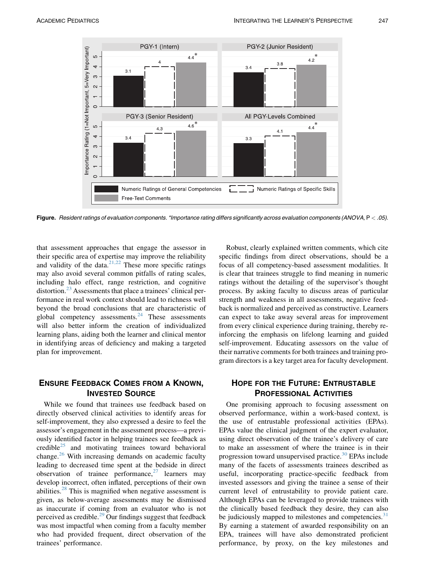<span id="page-2-0"></span>

Figure. Resident ratings of evaluation components. \*Importance rating differs significantly across evaluation components (ANOVA, P < .05).

that assessment approaches that engage the assessor in their specific area of expertise may improve the reliability and validity of the data. $2^{1,22}$  These more specific ratings may also avoid several common pitfalls of rating scales, including halo effect, range restriction, and cognitive distortion.<sup>[23](#page-3-0)</sup> Assessments that place a trainees' clinical performance in real work context should lead to richness well beyond the broad conclusions that are characteristic of global competency assessments. $24$  These assessments will also better inform the creation of individualized learning plans, aiding both the learner and clinical mentor in identifying areas of deficiency and making a targeted plan for improvement.

## ENSURE FEEDBACK COMES FROM A KNOWN, INVESTED SOURCE

While we found that trainees use feedback based on directly observed clinical activities to identify areas for self-improvement, they also expressed a desire to feel the assessor's engagement in the assessment process—a previously identified factor in helping trainees see feedback as credible $^{25}$  $^{25}$  $^{25}$  and motivating trainees toward behavioral change. $^{26}$  $^{26}$  $^{26}$  With increasing demands on academic faculty leading to decreased time spent at the bedside in direct observation of trainee performance,  $27$  learners may develop incorrect, often inflated, perceptions of their own abilities. $28$  This is magnified when negative assessment is given, as below-average assessments may be dismissed as inaccurate if coming from an evaluator who is not perceived as credible. $2^9$  Our findings suggest that feedback was most impactful when coming from a faculty member who had provided frequent, direct observation of the trainees' performance.

Robust, clearly explained written comments, which cite specific findings from direct observations, should be a focus of all competency-based assessment modalities. It is clear that trainees struggle to find meaning in numeric ratings without the detailing of the supervisor's thought process. By asking faculty to discuss areas of particular strength and weakness in all assessments, negative feedback is normalized and perceived as constructive. Learners can expect to take away several areas for improvement from every clinical experience during training, thereby reinforcing the emphasis on lifelong learning and guided self-improvement. Educating assessors on the value of their narrative comments for both trainees and training program directors is a key target area for faculty development.

## HOPE FOR THE FUTURE: ENTRUSTABLE PROFESSIONAL ACTIVITIES

One promising approach to focusing assessment on observed performance, within a work-based context, is the use of entrustable professional activities (EPAs). EPAs value the clinical judgment of the expert evaluator, using direct observation of the trainee's delivery of care to make an assessment of where the trainee is in their progression toward unsupervised practice. $30$  EPAs include many of the facets of assessments trainees described as useful, incorporating practice-specific feedback from invested assessors and giving the trainee a sense of their current level of entrustability to provide patient care. Although EPAs can be leveraged to provide trainees with the clinically based feedback they desire, they can also be judiciously mapped to milestones and competencies. $31$ By earning a statement of awarded responsibility on an EPA, trainees will have also demonstrated proficient performance, by proxy, on the key milestones and